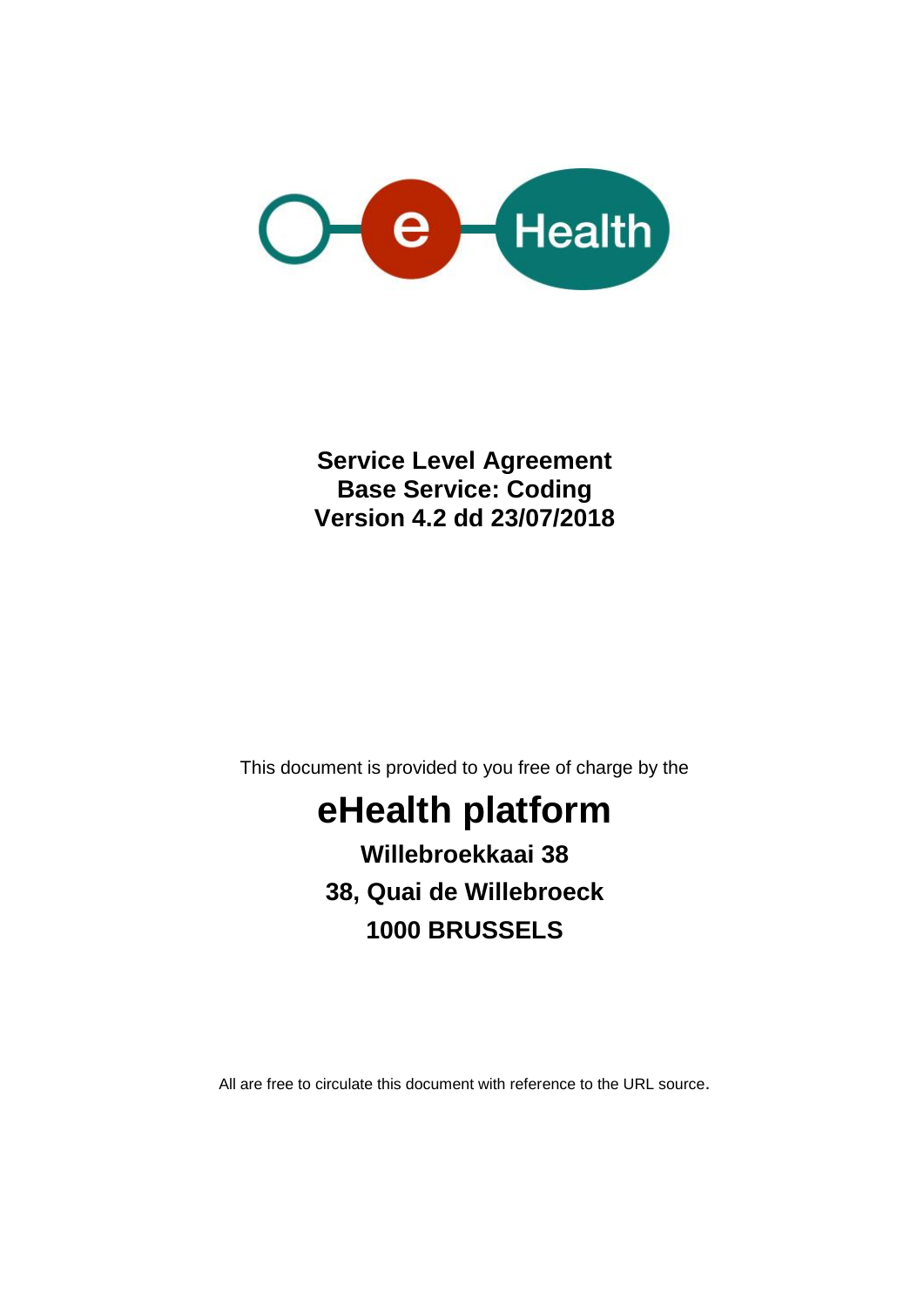

**Service Level Agreement Base Service: Coding Version 4.2 dd 23/07/2018**

This document is provided to you free of charge by the

# **eHealth platform Willebroekkaai 38 38, Quai de Willebroeck 1000 BRUSSELS**

All are free to circulate this document with reference to the URL source.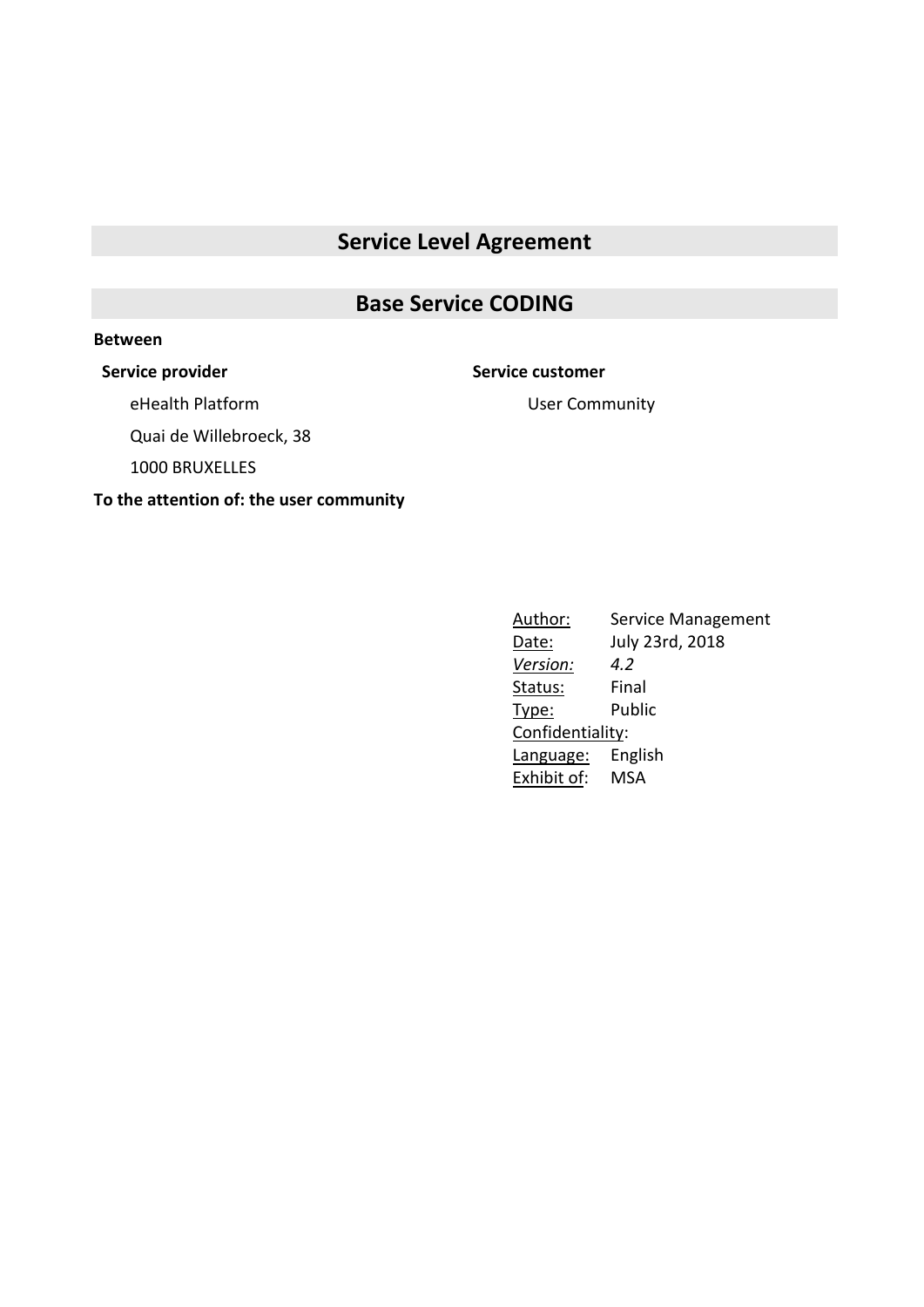## **Service Level Agreement**

## **Base Service CODING**

#### **Between**

### **Service provider Service customer**

eHealth Platform

User Community

Quai de Willebroeck, 38

1000 BRUXELLES

**To the attention of: the user community**

Author: Service Management Date: July 23rd, 2018 *Version: 4.2* Status: Final Type: Public Confidentiality: Language: English Exhibit of: MSA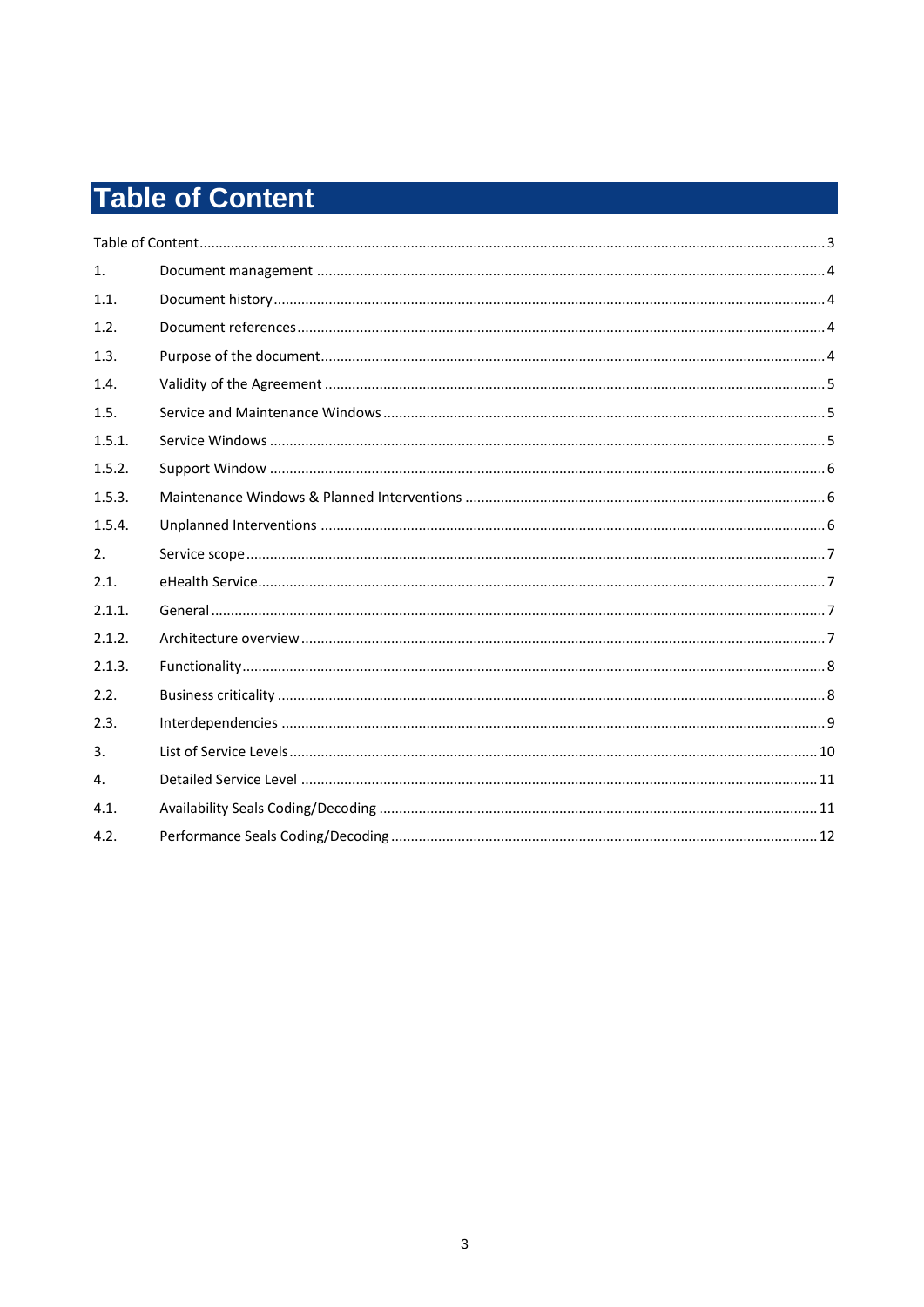# **Table of Content**

| $\mathbf{1}$ . |  |
|----------------|--|
| 1.1.           |  |
| 1.2.           |  |
| 1.3.           |  |
| 1.4.           |  |
| 1.5.           |  |
| 1.5.1.         |  |
| 1.5.2.         |  |
| 1.5.3.         |  |
| 1.5.4.         |  |
| 2.             |  |
| 2.1.           |  |
| 2.1.1.         |  |
| 2.1.2.         |  |
| 2.1.3.         |  |
| 2.2.           |  |
| 2.3.           |  |
| $\mathbf{3}$ . |  |
| $\mathbf{4}$ . |  |
| 4.1.           |  |
| 4.2.           |  |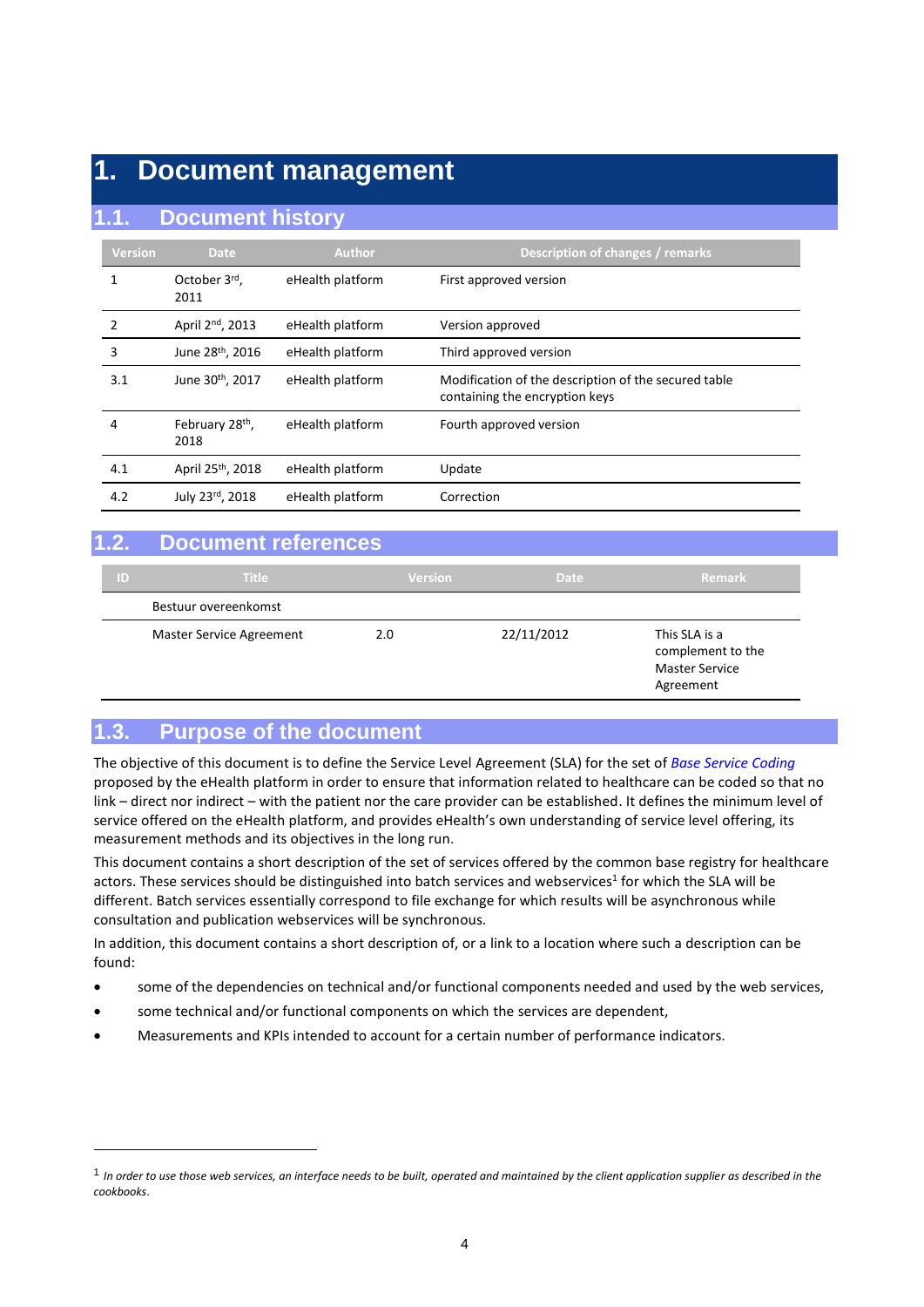## **1. Document management**

## **1.1. Document history**

| <b>Version</b> | <b>Date</b>                         | <b>Author</b>    | Description of changes / remarks                                                       |
|----------------|-------------------------------------|------------------|----------------------------------------------------------------------------------------|
|                | October 3rd,<br>2011                | eHealth platform | First approved version                                                                 |
| 2              | April 2 <sup>nd</sup> , 2013        | eHealth platform | Version approved                                                                       |
| 3              | June 28 <sup>th</sup> , 2016        | eHealth platform | Third approved version                                                                 |
| 3.1            | June 30th, 2017                     | eHealth platform | Modification of the description of the secured table<br>containing the encryption keys |
| 4              | February 28 <sup>th</sup> ,<br>2018 | eHealth platform | Fourth approved version                                                                |
| 4.1            | April 25 <sup>th</sup> , 2018       | eHealth platform | Update                                                                                 |
| 4.2            | July 23rd, 2018                     | eHealth platform | Correction                                                                             |

## **1.2. Document references**

| ID | <b>Title</b>                    | <b>Version</b> | <b>Date</b> | Remark                                                                   |
|----|---------------------------------|----------------|-------------|--------------------------------------------------------------------------|
|    | Bestuur overeenkomst            |                |             |                                                                          |
|    | <b>Master Service Agreement</b> | 2.0            | 22/11/2012  | This SLA is a<br>complement to the<br><b>Master Service</b><br>Agreement |

## **1.3. Purpose of the document**

1

The objective of this document is to define the Service Level Agreement (SLA) for the set of *Base Service Coding* proposed by the eHealth platform in order to ensure that information related to healthcare can be coded so that no link – direct nor indirect – with the patient nor the care provider can be established. It defines the minimum level of service offered on the eHealth platform, and provides eHealth's own understanding of service level offering, its measurement methods and its objectives in the long run.

This document contains a short description of the set of services offered by the common base registry for healthcare actors. These services should be distinguished into batch services and webservices<sup>1</sup> for which the SLA will be different. Batch services essentially correspond to file exchange for which results will be asynchronous while consultation and publication webservices will be synchronous.

In addition, this document contains a short description of, or a link to a location where such a description can be found:

- some of the dependencies on technical and/or functional components needed and used by the web services,
- some technical and/or functional components on which the services are dependent,
- Measurements and KPIs intended to account for a certain number of performance indicators.

<sup>1</sup> *In order to use those web services, an interface needs to be built, operated and maintained by the client application supplier as described in the cookbooks*.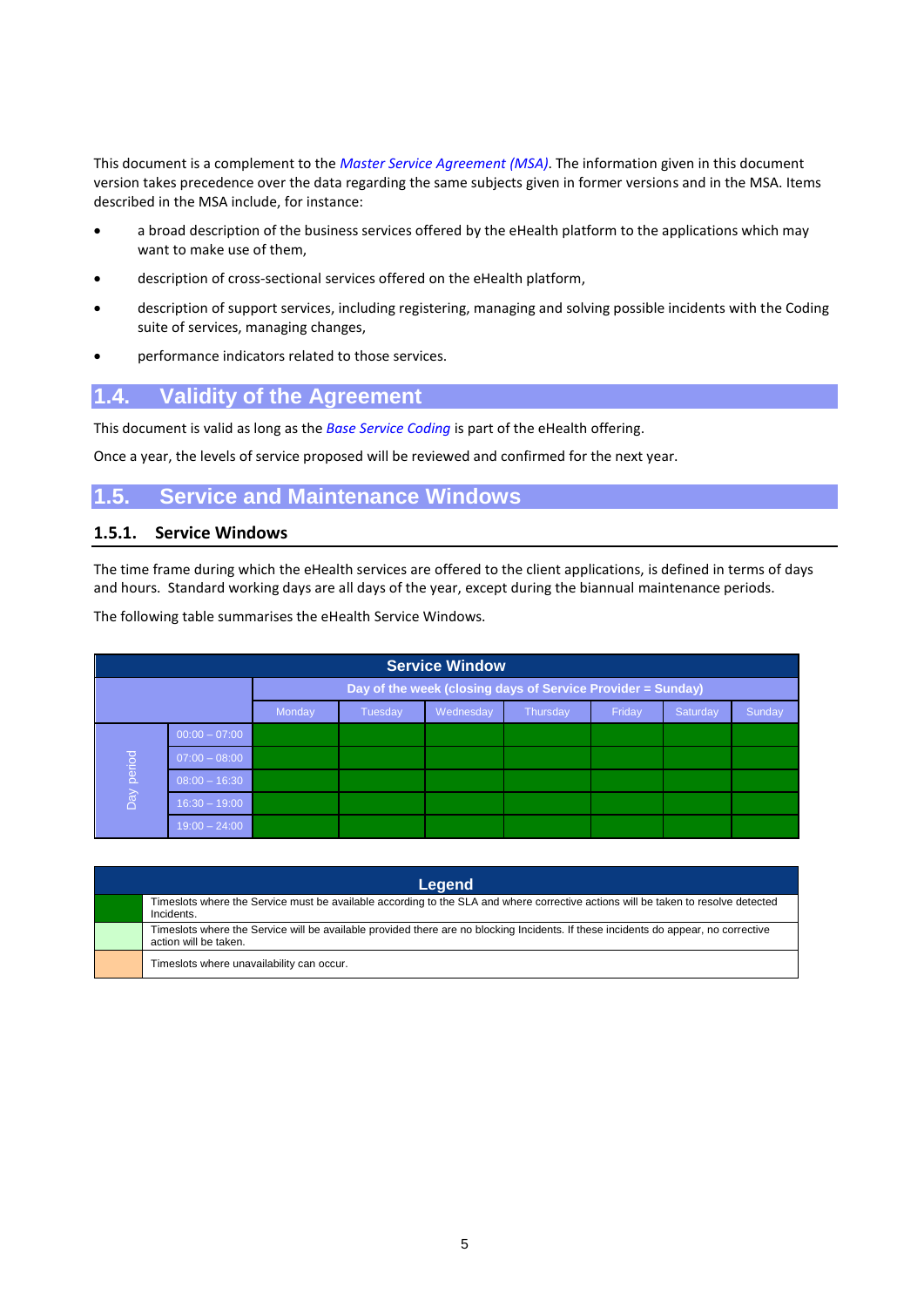This document is a complement to the *Master Service Agreement (MSA)*. The information given in this document version takes precedence over the data regarding the same subjects given in former versions and in the MSA. Items described in the MSA include, for instance:

- a broad description of the business services offered by the eHealth platform to the applications which may want to make use of them,
- description of cross-sectional services offered on the eHealth platform,
- description of support services, including registering, managing and solving possible incidents with the Coding suite of services, managing changes,
- performance indicators related to those services.

## **1.4. Validity of the Agreement**

This document is valid as long as the *Base Service Coding* is part of the eHealth offering.

Once a year, the levels of service proposed will be reviewed and confirmed for the next year.

## **1.5. Service and Maintenance Windows**

#### **1.5.1. Service Windows**

The time frame during which the eHealth services are offered to the client applications, is defined in terms of days and hours. Standard working days are all days of the year, except during the biannual maintenance periods.

The following table summarises the eHealth Service Windows.

| <b>Service Window</b> |                                                                            |  |  |  |  |  |  |  |
|-----------------------|----------------------------------------------------------------------------|--|--|--|--|--|--|--|
|                       | Day of the week (closing days of Service Provider = Sunday)                |  |  |  |  |  |  |  |
|                       | Friday<br>Sunday<br>Monday<br>Tuesday<br>Thursday<br>Wednesday<br>Saturday |  |  |  |  |  |  |  |
|                       | $00:00 - 07:00$                                                            |  |  |  |  |  |  |  |
|                       | $07:00 - 08:00$                                                            |  |  |  |  |  |  |  |
| Day period            | $08:00 - 16:30$                                                            |  |  |  |  |  |  |  |
|                       | $16:30 - 19:00$                                                            |  |  |  |  |  |  |  |
|                       | $19:00 - 24:00$                                                            |  |  |  |  |  |  |  |

| Legend                                                                                                                                                       |  |  |  |  |  |  |  |
|--------------------------------------------------------------------------------------------------------------------------------------------------------------|--|--|--|--|--|--|--|
| Timeslots where the Service must be available according to the SLA and where corrective actions will be taken to resolve detected<br>Incidents.              |  |  |  |  |  |  |  |
| Timeslots where the Service will be available provided there are no blocking Incidents. If these incidents do appear, no corrective<br>action will be taken. |  |  |  |  |  |  |  |
| Timeslots where unavailability can occur.                                                                                                                    |  |  |  |  |  |  |  |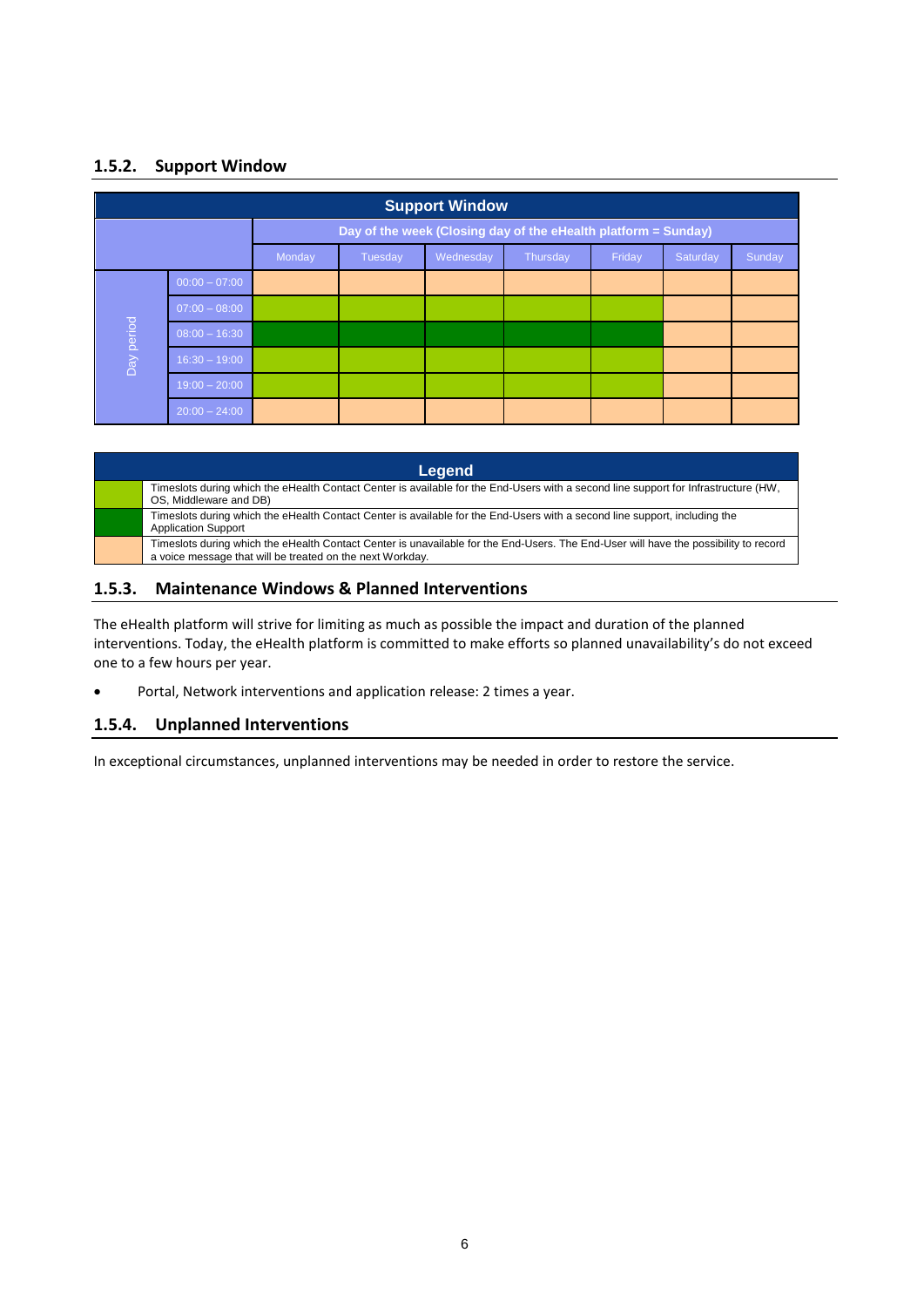## **1.5.2. Support Window**

| <b>Support Window</b> |                                                                            |  |  |  |  |  |  |  |
|-----------------------|----------------------------------------------------------------------------|--|--|--|--|--|--|--|
|                       | Day of the week (Closing day of the eHealth platform = Sunday)             |  |  |  |  |  |  |  |
|                       | Friday<br>Monday<br>Tuesday<br>Wednesday<br>Saturday<br>Sunday<br>Thursday |  |  |  |  |  |  |  |
|                       | $00:00 - 07:00$                                                            |  |  |  |  |  |  |  |
|                       | $07:00 - 08:00$                                                            |  |  |  |  |  |  |  |
|                       | $08:00 - 16:30$                                                            |  |  |  |  |  |  |  |
| Day period            | $16:30 - 19:00$                                                            |  |  |  |  |  |  |  |
|                       | $19:00 - 20:00$                                                            |  |  |  |  |  |  |  |
|                       | $20:00 - 24:00$                                                            |  |  |  |  |  |  |  |

| Legend                                                                                                                                                        |                                                                                                                                                                                                   |  |  |  |  |  |  |
|---------------------------------------------------------------------------------------------------------------------------------------------------------------|---------------------------------------------------------------------------------------------------------------------------------------------------------------------------------------------------|--|--|--|--|--|--|
| Timeslots during which the eHealth Contact Center is available for the End-Users with a second line support for Infrastructure (HW,<br>OS, Middleware and DB) |                                                                                                                                                                                                   |  |  |  |  |  |  |
| <b>Application Support</b>                                                                                                                                    | Timeslots during which the eHealth Contact Center is available for the End-Users with a second line support, including the                                                                        |  |  |  |  |  |  |
|                                                                                                                                                               | Timeslots during which the eHealth Contact Center is unavailable for the End-Users. The End-User will have the possibility to record<br>a voice message that will be treated on the next Workday. |  |  |  |  |  |  |

### **1.5.3. Maintenance Windows & Planned Interventions**

The eHealth platform will strive for limiting as much as possible the impact and duration of the planned interventions. Today, the eHealth platform is committed to make efforts so planned unavailability's do not exceed one to a few hours per year.

Portal, Network interventions and application release: 2 times a year.

#### **1.5.4. Unplanned Interventions**

In exceptional circumstances, unplanned interventions may be needed in order to restore the service.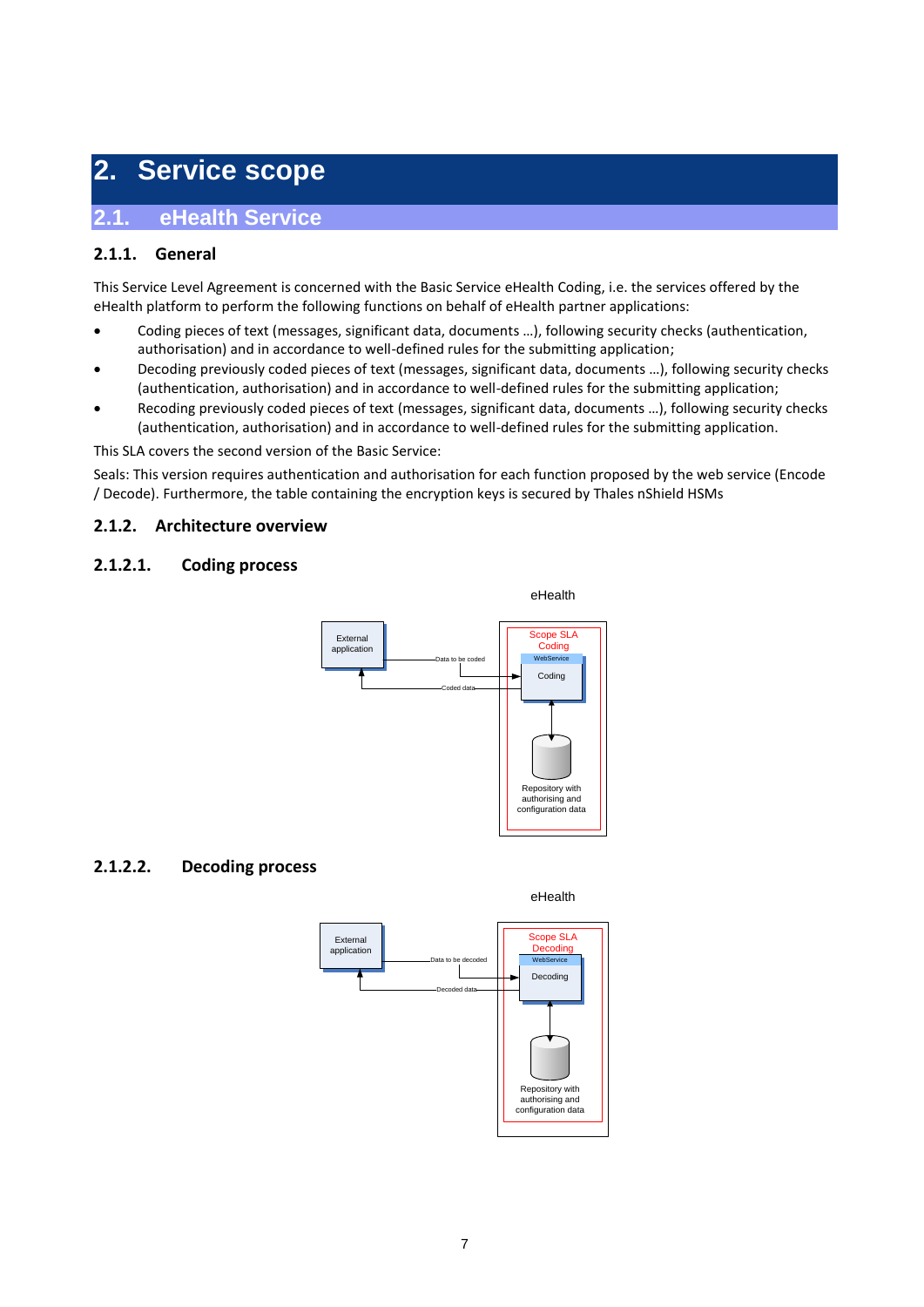## **2. Service scope**

## **2.1. eHealth Service**

## **2.1.1. General**

This Service Level Agreement is concerned with the Basic Service eHealth Coding, i.e. the services offered by the eHealth platform to perform the following functions on behalf of eHealth partner applications:

- Coding pieces of text (messages, significant data, documents …), following security checks (authentication, authorisation) and in accordance to well-defined rules for the submitting application;
- Decoding previously coded pieces of text (messages, significant data, documents …), following security checks (authentication, authorisation) and in accordance to well-defined rules for the submitting application;
- Recoding previously coded pieces of text (messages, significant data, documents …), following security checks (authentication, authorisation) and in accordance to well-defined rules for the submitting application.

This SLA covers the second version of the Basic Service:

Seals: This version requires authentication and authorisation for each function proposed by the web service (Encode / Decode). Furthermore, the table containing the encryption keys is secured by Thales nShield HSMs

### **2.1.2. Architecture overview**

#### **2.1.2.1. Coding process**



## **2.1.2.2. Decoding process**

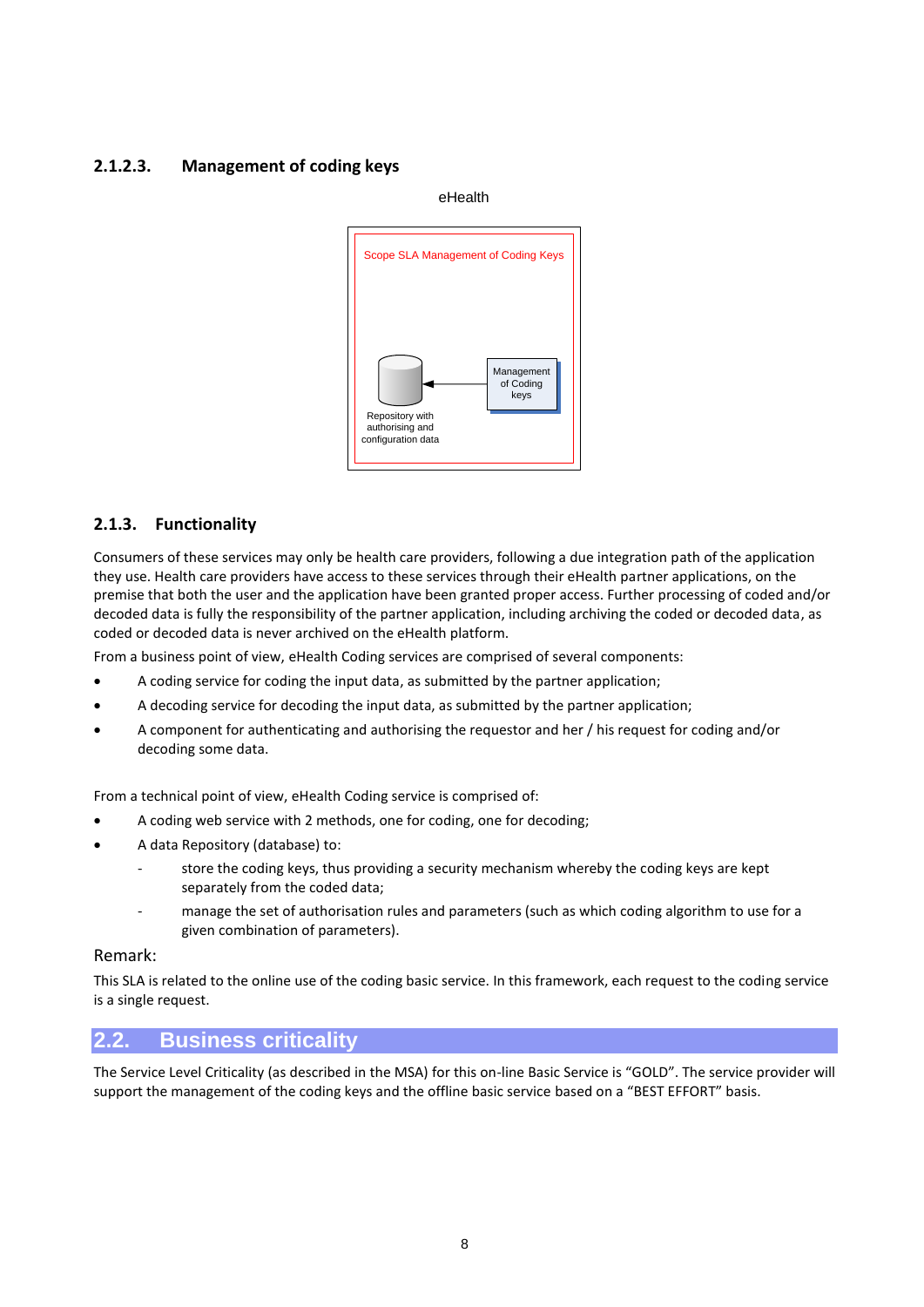#### **2.1.2.3. Management of coding keys**

eHealth



## **2.1.3. Functionality**

Consumers of these services may only be health care providers, following a due integration path of the application they use. Health care providers have access to these services through their eHealth partner applications, on the premise that both the user and the application have been granted proper access. Further processing of coded and/or decoded data is fully the responsibility of the partner application, including archiving the coded or decoded data, as coded or decoded data is never archived on the eHealth platform.

From a business point of view, eHealth Coding services are comprised of several components:

- A coding service for coding the input data, as submitted by the partner application;
- A decoding service for decoding the input data, as submitted by the partner application;
- A component for authenticating and authorising the requestor and her / his request for coding and/or decoding some data.

From a technical point of view, eHealth Coding service is comprised of:

- A coding web service with 2 methods, one for coding, one for decoding;
- A data Repository (database) to:
	- store the coding keys, thus providing a security mechanism whereby the coding keys are kept separately from the coded data;
	- manage the set of authorisation rules and parameters (such as which coding algorithm to use for a given combination of parameters).

#### Remark:

This SLA is related to the online use of the coding basic service. In this framework, each request to the coding service is a single request.

## **2.2. Business criticality**

The Service Level Criticality (as described in the MSA) for this on-line Basic Service is "GOLD". The service provider will support the management of the coding keys and the offline basic service based on a "BEST EFFORT" basis.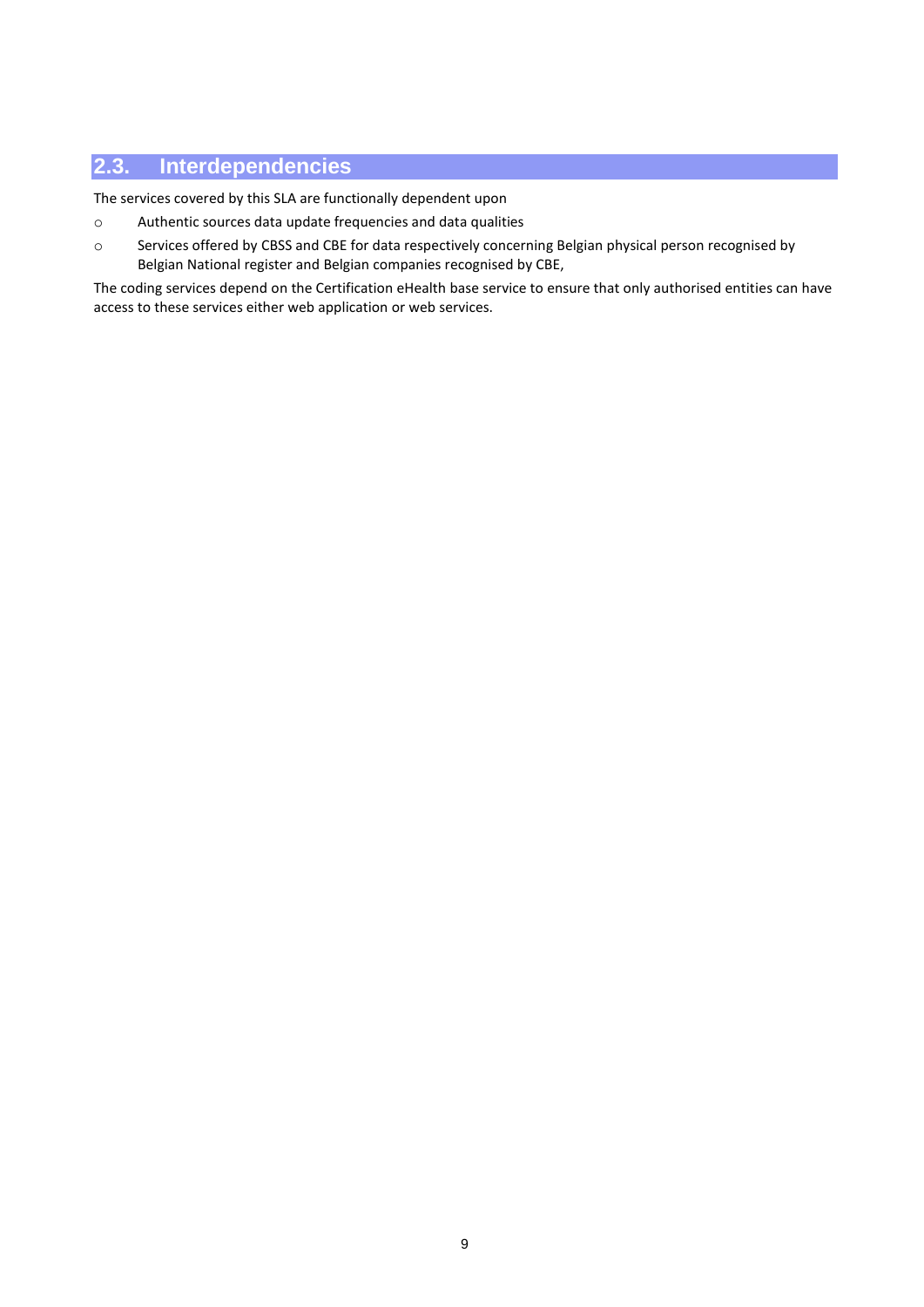## **2.3. Interdependencies**

The services covered by this SLA are functionally dependent upon

- o Authentic sources data update frequencies and data qualities
- o Services offered by CBSS and CBE for data respectively concerning Belgian physical person recognised by Belgian National register and Belgian companies recognised by CBE,

The coding services depend on the Certification eHealth base service to ensure that only authorised entities can have access to these services either web application or web services.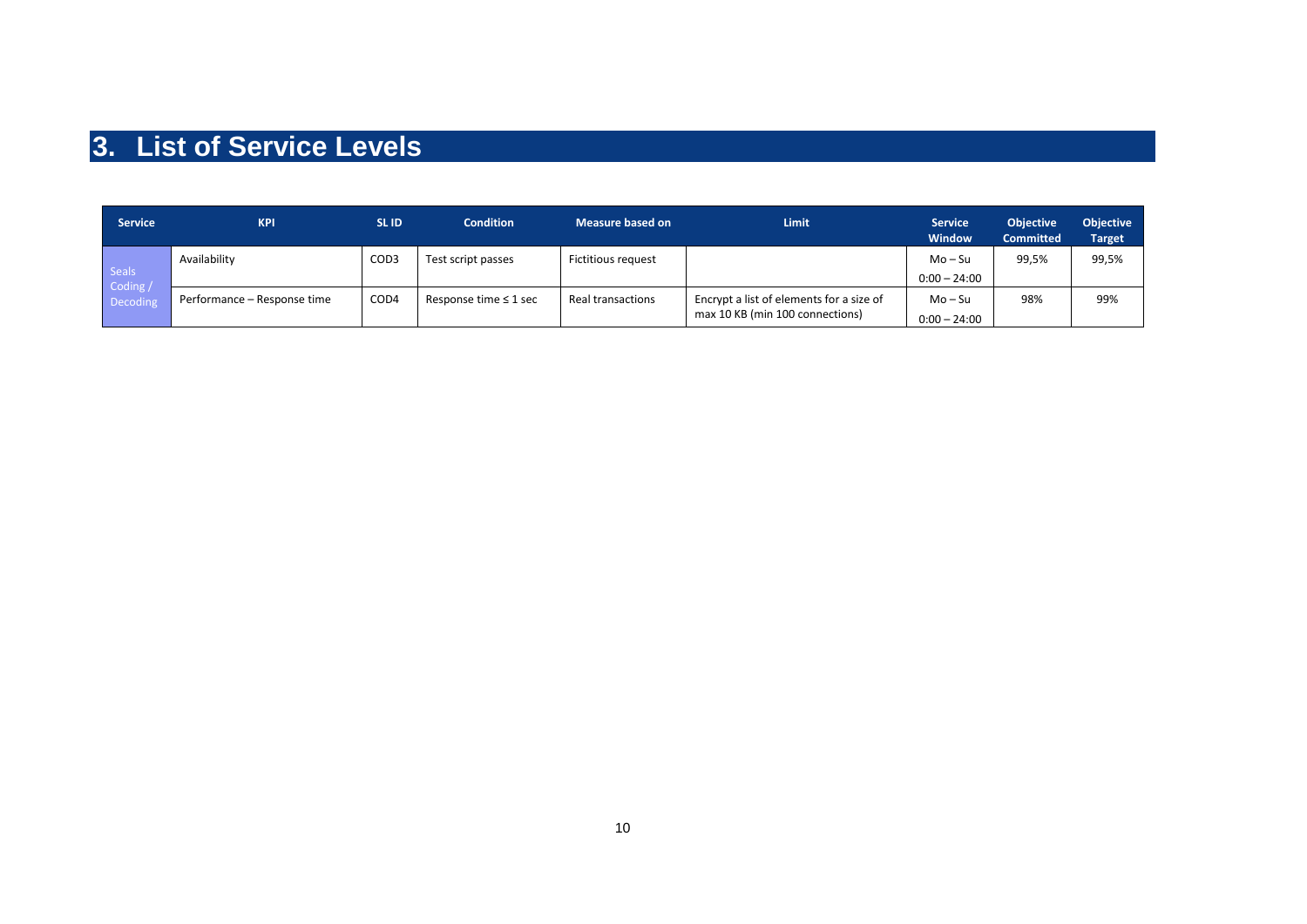# **3. List of Service Levels**

| <b>Service</b>                       | <b>KPI</b>                  | <b>SLID</b>      | <b>Condition</b>           | <b>Measure based on</b> | Limit                                                                       | <b>Service</b><br><b>Window</b> | <b>Objective</b><br><b>Committed</b> | <b>Objective</b><br><b>Target</b> |
|--------------------------------------|-----------------------------|------------------|----------------------------|-------------------------|-----------------------------------------------------------------------------|---------------------------------|--------------------------------------|-----------------------------------|
| <b>Seals</b><br>Coding /<br>Decoding | Availability                | COD <sub>3</sub> | Test script passes         | Fictitious request      |                                                                             | Mo – Su<br>$0:00 - 24:00$       | 99,5%                                | 99,5%                             |
|                                      | Performance - Response time | COD4             | Response time $\leq 1$ sec | Real transactions       | Encrypt a list of elements for a size of<br>max 10 KB (min 100 connections) | $Mo-Su$<br>$0:00 - 24:00$       | 98%                                  | 99%                               |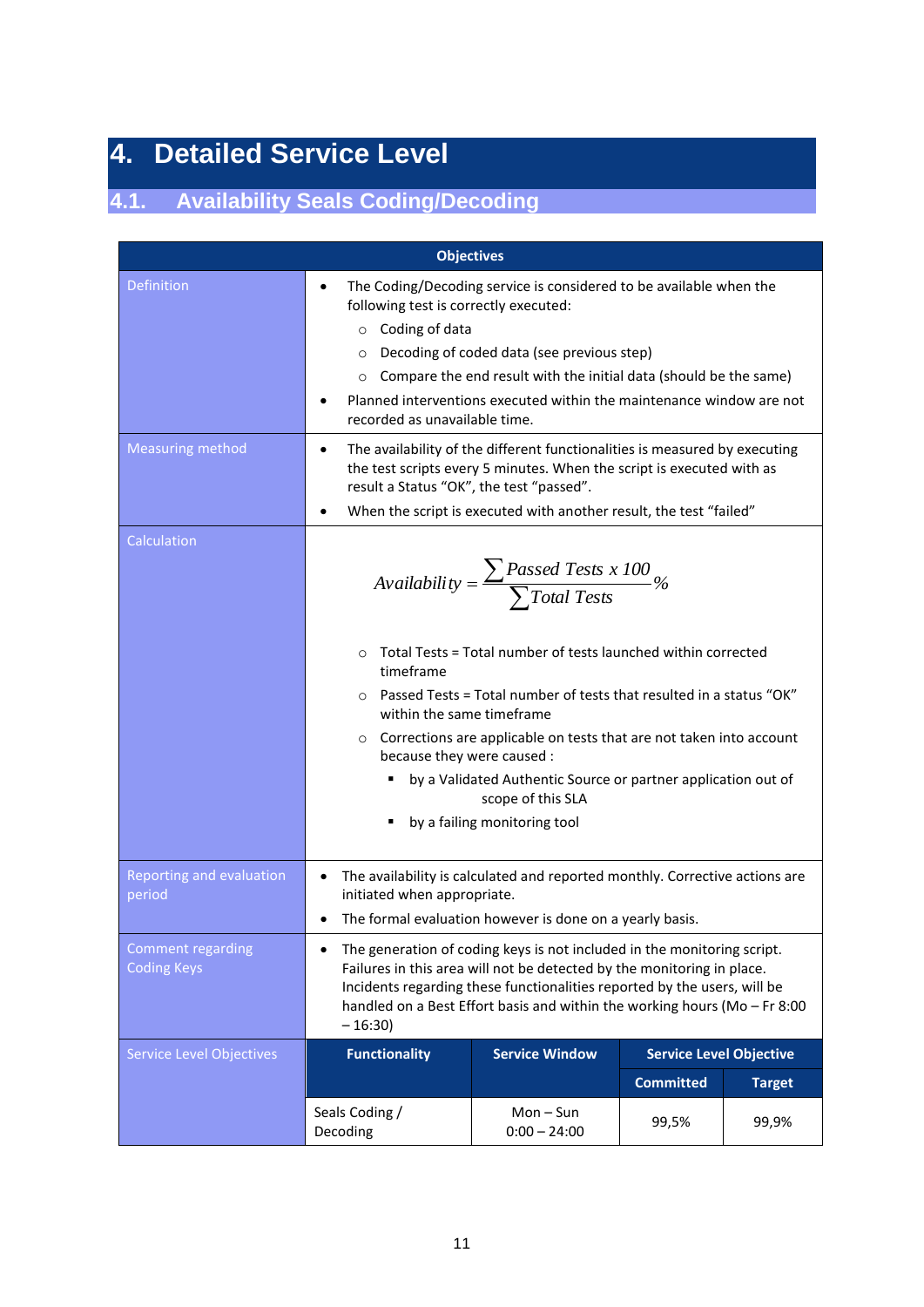# **4. Detailed Service Level**

# **4.1. Availability Seals Coding/Decoding**

|                                                | <b>Objectives</b>                                                                                                                                                                                                                                                                                                                                                                       |                                                                                                                                                                                                                                                                                                                                                                                                                        |                                |               |  |  |  |
|------------------------------------------------|-----------------------------------------------------------------------------------------------------------------------------------------------------------------------------------------------------------------------------------------------------------------------------------------------------------------------------------------------------------------------------------------|------------------------------------------------------------------------------------------------------------------------------------------------------------------------------------------------------------------------------------------------------------------------------------------------------------------------------------------------------------------------------------------------------------------------|--------------------------------|---------------|--|--|--|
| Definition                                     | The Coding/Decoding service is considered to be available when the<br>following test is correctly executed:<br>$\circ$ Coding of data<br>Decoding of coded data (see previous step)<br>$\circ$<br>Compare the end result with the initial data (should be the same)<br>$\circ$<br>Planned interventions executed within the maintenance window are not<br>recorded as unavailable time. |                                                                                                                                                                                                                                                                                                                                                                                                                        |                                |               |  |  |  |
| <b>Measuring method</b>                        | ٠<br>result a Status "OK", the test "passed".                                                                                                                                                                                                                                                                                                                                           | The availability of the different functionalities is measured by executing<br>the test scripts every 5 minutes. When the script is executed with as<br>When the script is executed with another result, the test "failed"                                                                                                                                                                                              |                                |               |  |  |  |
| Calculation                                    | $\Omega$<br>timeframe<br>$\Omega$<br>within the same timeframe<br>$\circ$<br>because they were caused :                                                                                                                                                                                                                                                                                 | Availability = $\frac{\sum \text{Passed Tests x 100}}{\sum \text{Total Tests}}$ %<br>Total Tests = Total number of tests launched within corrected<br>Passed Tests = Total number of tests that resulted in a status "OK"<br>Corrections are applicable on tests that are not taken into account<br>by a Validated Authentic Source or partner application out of<br>scope of this SLA<br>by a failing monitoring tool |                                |               |  |  |  |
| Reporting and evaluation<br>period             | $\bullet$<br>initiated when appropriate.                                                                                                                                                                                                                                                                                                                                                | The availability is calculated and reported monthly. Corrective actions are<br>The formal evaluation however is done on a yearly basis.                                                                                                                                                                                                                                                                                |                                |               |  |  |  |
| <b>Comment regarding</b><br><b>Coding Keys</b> | The generation of coding keys is not included in the monitoring script.<br>Failures in this area will not be detected by the monitoring in place.<br>Incidents regarding these functionalities reported by the users, will be<br>handled on a Best Effort basis and within the working hours (Mo - Fr 8:00<br>$-16:30$                                                                  |                                                                                                                                                                                                                                                                                                                                                                                                                        |                                |               |  |  |  |
| <b>Service Level Objectives</b>                | <b>Functionality</b>                                                                                                                                                                                                                                                                                                                                                                    | <b>Service Window</b>                                                                                                                                                                                                                                                                                                                                                                                                  | <b>Service Level Objective</b> |               |  |  |  |
|                                                |                                                                                                                                                                                                                                                                                                                                                                                         |                                                                                                                                                                                                                                                                                                                                                                                                                        | <b>Committed</b>               | <b>Target</b> |  |  |  |
|                                                | Seals Coding /<br>Decoding                                                                                                                                                                                                                                                                                                                                                              | $Mon-Sun$<br>$0:00 - 24:00$                                                                                                                                                                                                                                                                                                                                                                                            | 99,5%                          | 99,9%         |  |  |  |